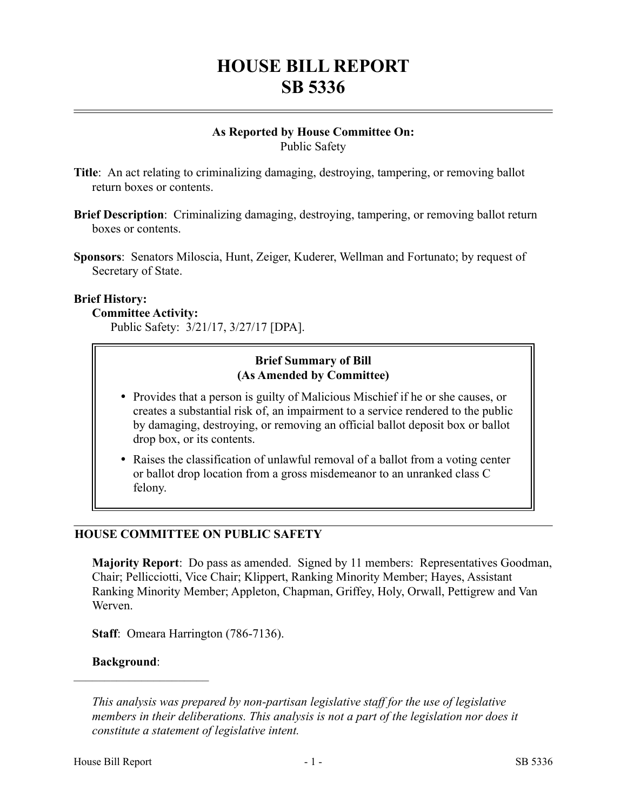# **HOUSE BILL REPORT SB 5336**

#### **As Reported by House Committee On:** Public Safety

- **Title**: An act relating to criminalizing damaging, destroying, tampering, or removing ballot return boxes or contents.
- **Brief Description**: Criminalizing damaging, destroying, tampering, or removing ballot return boxes or contents.
- **Sponsors**: Senators Miloscia, Hunt, Zeiger, Kuderer, Wellman and Fortunato; by request of Secretary of State.

#### **Brief History:**

#### **Committee Activity:**

Public Safety: 3/21/17, 3/27/17 [DPA].

## **Brief Summary of Bill (As Amended by Committee)**

- Provides that a person is guilty of Malicious Mischief if he or she causes, or creates a substantial risk of, an impairment to a service rendered to the public by damaging, destroying, or removing an official ballot deposit box or ballot drop box, or its contents.
- Raises the classification of unlawful removal of a ballot from a voting center or ballot drop location from a gross misdemeanor to an unranked class C felony.

## **HOUSE COMMITTEE ON PUBLIC SAFETY**

**Majority Report**: Do pass as amended. Signed by 11 members: Representatives Goodman, Chair; Pellicciotti, Vice Chair; Klippert, Ranking Minority Member; Hayes, Assistant Ranking Minority Member; Appleton, Chapman, Griffey, Holy, Orwall, Pettigrew and Van Werven.

**Staff**: Omeara Harrington (786-7136).

#### **Background**:

––––––––––––––––––––––

*This analysis was prepared by non-partisan legislative staff for the use of legislative members in their deliberations. This analysis is not a part of the legislation nor does it constitute a statement of legislative intent.*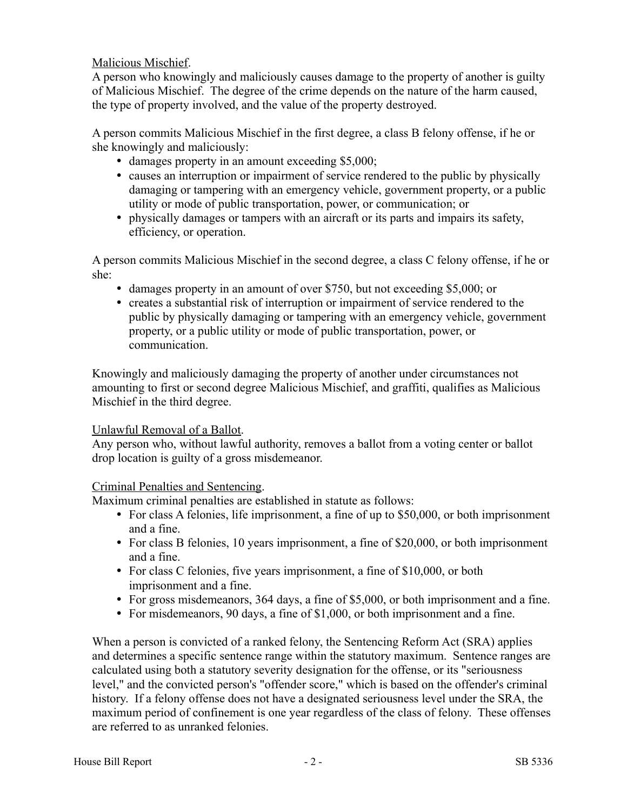Malicious Mischief.

A person who knowingly and maliciously causes damage to the property of another is guilty of Malicious Mischief. The degree of the crime depends on the nature of the harm caused, the type of property involved, and the value of the property destroyed.

A person commits Malicious Mischief in the first degree, a class B felony offense, if he or she knowingly and maliciously:

- damages property in an amount exceeding \$5,000;
- causes an interruption or impairment of service rendered to the public by physically damaging or tampering with an emergency vehicle, government property, or a public utility or mode of public transportation, power, or communication; or
- physically damages or tampers with an aircraft or its parts and impairs its safety, efficiency, or operation.

A person commits Malicious Mischief in the second degree, a class C felony offense, if he or she:

- damages property in an amount of over \$750, but not exceeding \$5,000; or
- creates a substantial risk of interruption or impairment of service rendered to the public by physically damaging or tampering with an emergency vehicle, government property, or a public utility or mode of public transportation, power, or communication.

Knowingly and maliciously damaging the property of another under circumstances not amounting to first or second degree Malicious Mischief, and graffiti, qualifies as Malicious Mischief in the third degree.

## Unlawful Removal of a Ballot.

Any person who, without lawful authority, removes a ballot from a voting center or ballot drop location is guilty of a gross misdemeanor.

## Criminal Penalties and Sentencing.

Maximum criminal penalties are established in statute as follows:

- For class A felonies, life imprisonment, a fine of up to \$50,000, or both imprisonment and a fine.
- For class B felonies, 10 years imprisonment, a fine of \$20,000, or both imprisonment and a fine.
- For class C felonies, five years imprisonment, a fine of \$10,000, or both imprisonment and a fine.
- For gross misdemeanors, 364 days, a fine of \$5,000, or both imprisonment and a fine.
- For misdemeanors, 90 days, a fine of \$1,000, or both imprisonment and a fine.

When a person is convicted of a ranked felony, the Sentencing Reform Act (SRA) applies and determines a specific sentence range within the statutory maximum. Sentence ranges are calculated using both a statutory severity designation for the offense, or its "seriousness level," and the convicted person's "offender score," which is based on the offender's criminal history. If a felony offense does not have a designated seriousness level under the SRA, the maximum period of confinement is one year regardless of the class of felony. These offenses are referred to as unranked felonies.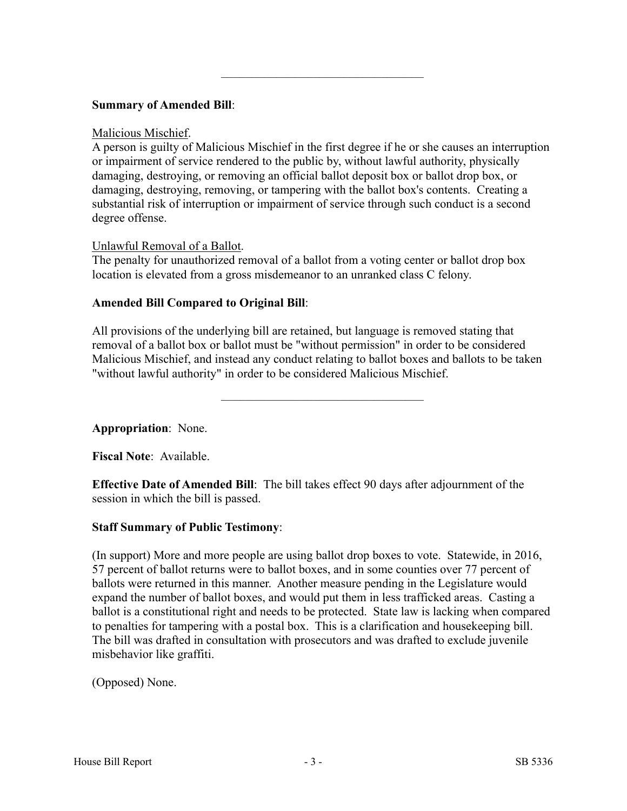## **Summary of Amended Bill**:

#### Malicious Mischief.

A person is guilty of Malicious Mischief in the first degree if he or she causes an interruption or impairment of service rendered to the public by, without lawful authority, physically damaging, destroying, or removing an official ballot deposit box or ballot drop box, or damaging, destroying, removing, or tampering with the ballot box's contents. Creating a substantial risk of interruption or impairment of service through such conduct is a second degree offense.

–––––––––––––––––––––––––––––––––

## Unlawful Removal of a Ballot.

The penalty for unauthorized removal of a ballot from a voting center or ballot drop box location is elevated from a gross misdemeanor to an unranked class C felony.

# **Amended Bill Compared to Original Bill**:

All provisions of the underlying bill are retained, but language is removed stating that removal of a ballot box or ballot must be "without permission" in order to be considered Malicious Mischief, and instead any conduct relating to ballot boxes and ballots to be taken "without lawful authority" in order to be considered Malicious Mischief.

–––––––––––––––––––––––––––––––––

**Appropriation**: None.

**Fiscal Note**: Available.

**Effective Date of Amended Bill**: The bill takes effect 90 days after adjournment of the session in which the bill is passed.

## **Staff Summary of Public Testimony**:

(In support) More and more people are using ballot drop boxes to vote. Statewide, in 2016, 57 percent of ballot returns were to ballot boxes, and in some counties over 77 percent of ballots were returned in this manner. Another measure pending in the Legislature would expand the number of ballot boxes, and would put them in less trafficked areas. Casting a ballot is a constitutional right and needs to be protected. State law is lacking when compared to penalties for tampering with a postal box. This is a clarification and housekeeping bill. The bill was drafted in consultation with prosecutors and was drafted to exclude juvenile misbehavior like graffiti.

(Opposed) None.